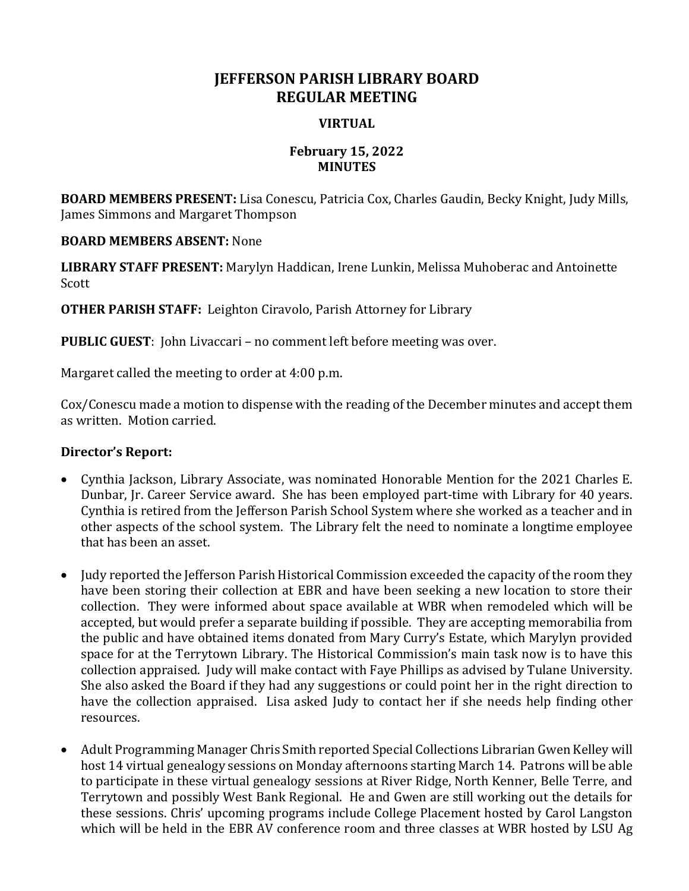# **JEFFERSON PARISH LIBRARY BOARD REGULAR MEETING**

## **VIRTUAL**

#### **February 15, 2022 MINUTES**

**BOARD MEMBERS PRESENT:** Lisa Conescu, Patricia Cox, Charles Gaudin, Becky Knight, Judy Mills, James Simmons and Margaret Thompson

### **BOARD MEMBERS ABSENT:** None

**LIBRARY STAFF PRESENT:** Marylyn Haddican, Irene Lunkin, Melissa Muhoberac and Antoinette Scott

**OTHER PARISH STAFF:** Leighton Ciravolo, Parish Attorney for Library

**PUBLIC GUEST**: John Livaccari – no comment left before meeting was over.

Margaret called the meeting to order at 4:00 p.m.

Cox/Conescu made a motion to dispense with the reading of the December minutes and accept them as written. Motion carried.

## **Director's Report:**

- Cynthia Jackson, Library Associate, was nominated Honorable Mention for the 2021 Charles E. Dunbar, Jr. Career Service award. She has been employed part-time with Library for 40 years. Cynthia is retired from the Jefferson Parish School System where she worked as a teacher and in other aspects of the school system. The Library felt the need to nominate a longtime employee that has been an asset.
- Judy reported the Jefferson Parish Historical Commission exceeded the capacity of the room they have been storing their collection at EBR and have been seeking a new location to store their collection. They were informed about space available at WBR when remodeled which will be accepted, but would prefer a separate building if possible. They are accepting memorabilia from the public and have obtained items donated from Mary Curry's Estate, which Marylyn provided space for at the Terrytown Library. The Historical Commission's main task now is to have this collection appraised. Judy will make contact with Faye Phillips as advised by Tulane University. She also asked the Board if they had any suggestions or could point her in the right direction to have the collection appraised. Lisa asked Judy to contact her if she needs help finding other resources.
- Adult Programming Manager Chris Smith reported Special Collections Librarian Gwen Kelley will host 14 virtual genealogy sessions on Monday afternoons starting March 14. Patrons will be able to participate in these virtual genealogy sessions at River Ridge, North Kenner, Belle Terre, and Terrytown and possibly West Bank Regional. He and Gwen are still working out the details for these sessions. Chris' upcoming programs include College Placement hosted by Carol Langston which will be held in the EBR AV conference room and three classes at WBR hosted by LSU Ag